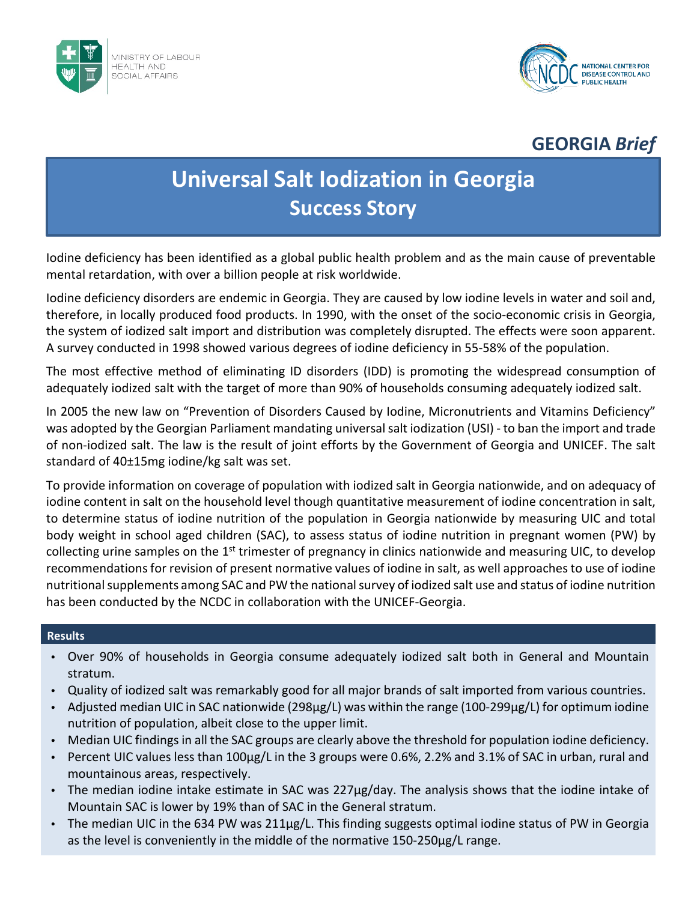



## **GEORGIA** *Brief*

# **Universal Salt Iodization in Georgia Success Story**

Iodine deficiency has been identified as a global public health problem and as the main cause of preventable mental retardation, with over a billion people at risk worldwide.

Iodine deficiency disorders are endemic in Georgia. They are caused by low iodine levels in water and soil and, therefore, in locally produced food products. In 1990, with the onset of the socio-economic crisis in Georgia, the system of iodized salt import and distribution was completely disrupted. The effects were soon apparent. A survey conducted in 1998 showed various degrees of iodine deficiency in 55-58% of the population.

The most effective method of eliminating ID disorders (IDD) is promoting the widespread consumption of adequately iodized salt with the target of more than 90% of households consuming adequately iodized salt.

In 2005 the new law on "Prevention of Disorders Caused by Iodine, Micronutrients and Vitamins Deficiency" was adopted by the Georgian Parliament mandating universal salt iodization (USI) - to ban the import and trade of non-iodized salt. The law is the result of joint efforts by the Government of Georgia and UNICEF. The salt standard of 40±15mg iodine/kg salt was set.

To provide information on coverage of population with iodized salt in Georgia nationwide, and on adequacy of iodine content in salt on the household level though quantitative measurement of iodine concentration in salt, to determine status of iodine nutrition of the population in Georgia nationwide by measuring UIC and total body weight in school aged children (SAC), to assess status of iodine nutrition in pregnant women (PW) by collecting urine samples on the  $1<sup>st</sup>$  trimester of pregnancy in clinics nationwide and measuring UIC, to develop recommendations for revision of present normative values of iodine in salt, as well approaches to use of iodine nutritional supplements among SAC and PW the national survey of iodized salt use and status of iodine nutrition has been conducted by the NCDC in collaboration with the UNICEF-Georgia.

#### **Results**

- Over 90% of households in Georgia consume adequately iodized salt both in General and Mountain stratum.
- Quality of iodized salt was remarkably good for all major brands of salt imported from various countries.
- Adjusted median UIC in SAC nationwide (298µg/L) was within the range (100-299µg/L) for optimum iodine nutrition of population, albeit close to the upper limit.
- Median UIC findings in all the SAC groups are clearly above the threshold for population iodine deficiency.
- Percent UIC values less than 100µg/L in the 3 groups were 0.6%, 2.2% and 3.1% of SAC in urban, rural and mountainous areas, respectively.
- The median iodine intake estimate in SAC was 227µg/day. The analysis shows that the iodine intake of Mountain SAC is lower by 19% than of SAC in the General stratum.
- The median UIC in the 634 PW was 211µg/L. This finding suggests optimal iodine status of PW in Georgia as the level is conveniently in the middle of the normative 150-250µg/L range.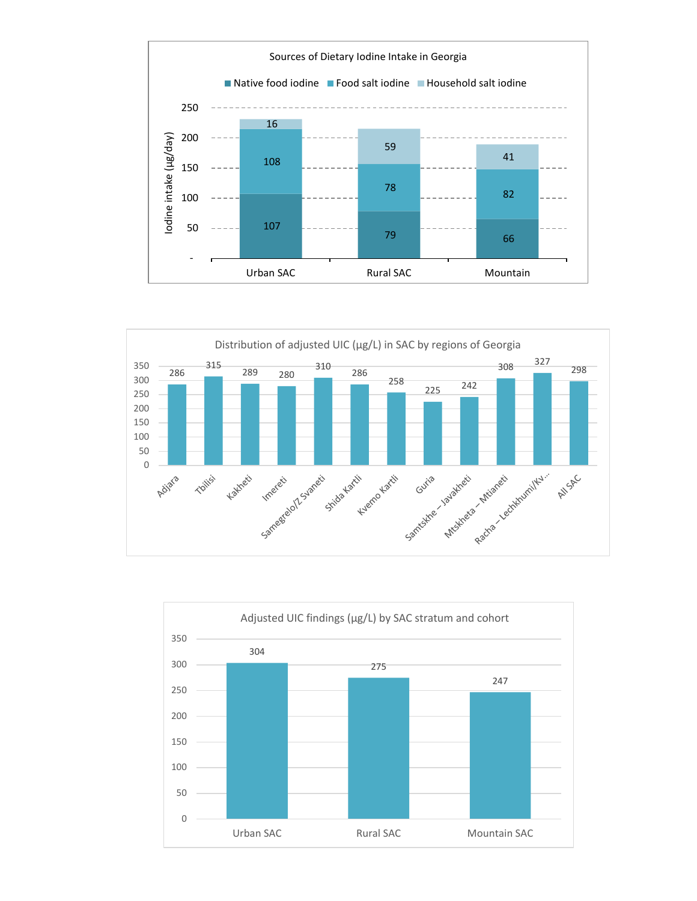



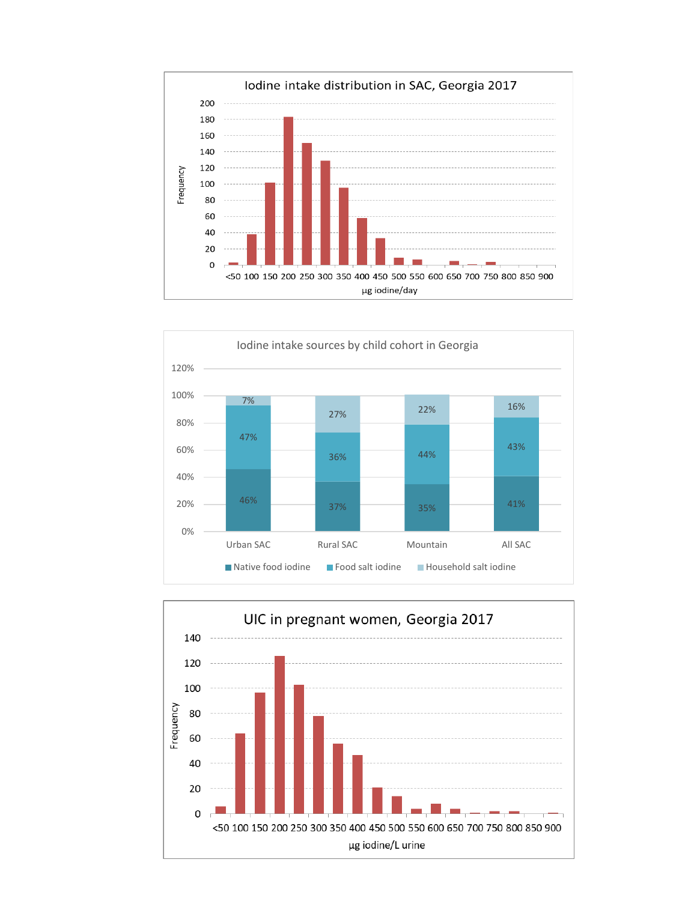